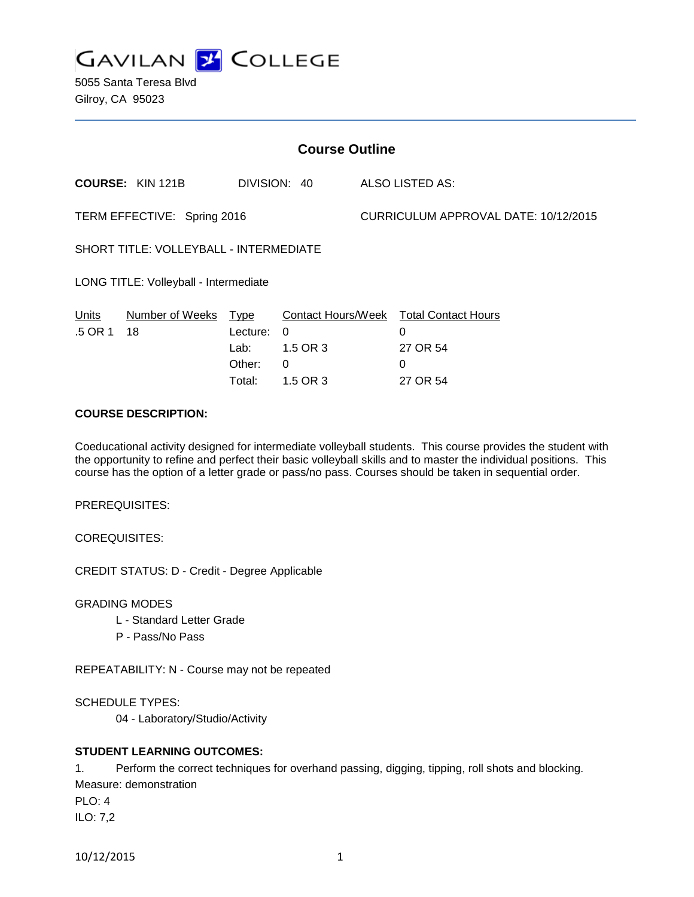

5055 Santa Teresa Blvd Gilroy, CA 95023

| <b>Course Outline</b>                  |                         |                                                     |                                                             |                                      |                                                              |
|----------------------------------------|-------------------------|-----------------------------------------------------|-------------------------------------------------------------|--------------------------------------|--------------------------------------------------------------|
|                                        | <b>COURSE: KIN 121B</b> | DIVISION: 40                                        |                                                             | ALSO LISTED AS:                      |                                                              |
| TERM EFFECTIVE: Spring 2016            |                         |                                                     |                                                             | CURRICULUM APPROVAL DATE: 10/12/2015 |                                                              |
| SHORT TITLE: VOLLEYBALL - INTERMEDIATE |                         |                                                     |                                                             |                                      |                                                              |
| LONG TITLE: Volleyball - Intermediate  |                         |                                                     |                                                             |                                      |                                                              |
| Units<br>.5 OR 1                       | Number of Weeks<br>18   | <u>Type</u><br>Lecture:<br>Lab:<br>Other:<br>Total: | <b>Contact Hours/Week</b><br>0<br>1.5 OR 3<br>0<br>1.5 OR 3 |                                      | <b>Total Contact Hours</b><br>0<br>27 OR 54<br>0<br>27 OR 54 |
| <b>COURSE DESCRIPTION:</b>             |                         |                                                     |                                                             |                                      |                                                              |

Coeducational activity designed for intermediate volleyball students. This course provides the student with the opportunity to refine and perfect their basic volleyball skills and to master the individual positions. This course has the option of a letter grade or pass/no pass. Courses should be taken in sequential order.

PREREQUISITES:

COREQUISITES:

CREDIT STATUS: D - Credit - Degree Applicable

GRADING MODES

- L Standard Letter Grade
- P Pass/No Pass

REPEATABILITY: N - Course may not be repeated

SCHEDULE TYPES:

04 - Laboratory/Studio/Activity

### **STUDENT LEARNING OUTCOMES:**

1. Perform the correct techniques for overhand passing, digging, tipping, roll shots and blocking. Measure: demonstration PLO: 4

ILO: 7,2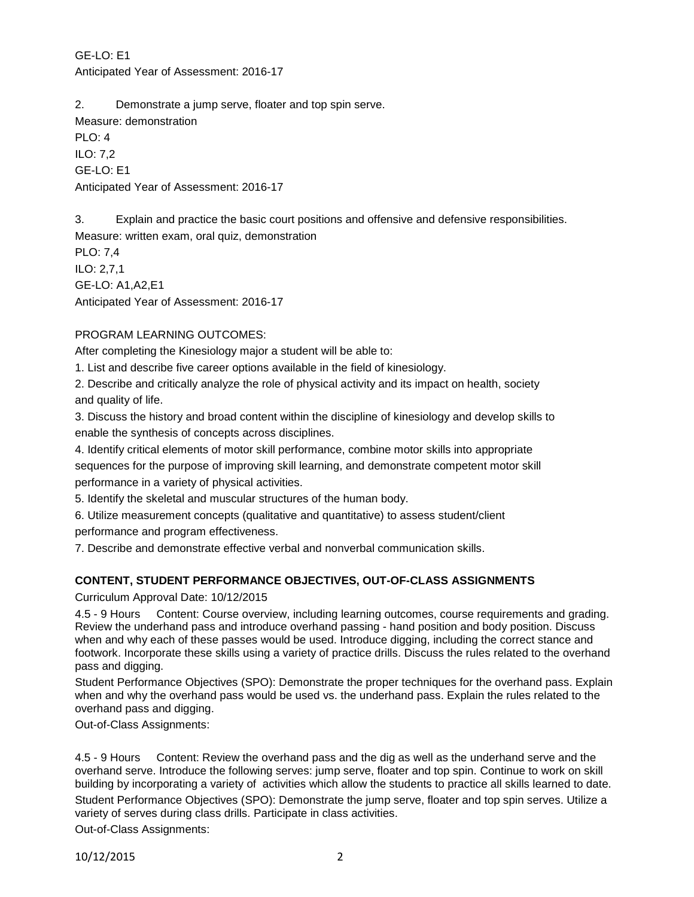GE-LO: E1 Anticipated Year of Assessment: 2016-17

2. Demonstrate a jump serve, floater and top spin serve.

Measure: demonstration

PLO: 4 ILO: 7,2 GE-LO: E1 Anticipated Year of Assessment: 2016-17

3. Explain and practice the basic court positions and offensive and defensive responsibilities.

Measure: written exam, oral quiz, demonstration PLO: 7,4 ILO: 2,7,1 GE-LO: A1,A2,E1 Anticipated Year of Assessment: 2016-17

# PROGRAM LEARNING OUTCOMES:

After completing the Kinesiology major a student will be able to:

1. List and describe five career options available in the field of kinesiology.

2. Describe and critically analyze the role of physical activity and its impact on health, society and quality of life.

3. Discuss the history and broad content within the discipline of kinesiology and develop skills to enable the synthesis of concepts across disciplines.

4. Identify critical elements of motor skill performance, combine motor skills into appropriate sequences for the purpose of improving skill learning, and demonstrate competent motor skill performance in a variety of physical activities.

5. Identify the skeletal and muscular structures of the human body.

6. Utilize measurement concepts (qualitative and quantitative) to assess student/client

performance and program effectiveness.

7. Describe and demonstrate effective verbal and nonverbal communication skills.

### **CONTENT, STUDENT PERFORMANCE OBJECTIVES, OUT-OF-CLASS ASSIGNMENTS**

### Curriculum Approval Date: 10/12/2015

4.5 - 9 Hours Content: Course overview, including learning outcomes, course requirements and grading. Review the underhand pass and introduce overhand passing - hand position and body position. Discuss when and why each of these passes would be used. Introduce digging, including the correct stance and footwork. Incorporate these skills using a variety of practice drills. Discuss the rules related to the overhand pass and digging.

Student Performance Objectives (SPO): Demonstrate the proper techniques for the overhand pass. Explain when and why the overhand pass would be used vs. the underhand pass. Explain the rules related to the overhand pass and digging.

Out-of-Class Assignments:

4.5 - 9 Hours Content: Review the overhand pass and the dig as well as the underhand serve and the overhand serve. Introduce the following serves: jump serve, floater and top spin. Continue to work on skill building by incorporating a variety of activities which allow the students to practice all skills learned to date.

Student Performance Objectives (SPO): Demonstrate the jump serve, floater and top spin serves. Utilize a variety of serves during class drills. Participate in class activities.

Out-of-Class Assignments: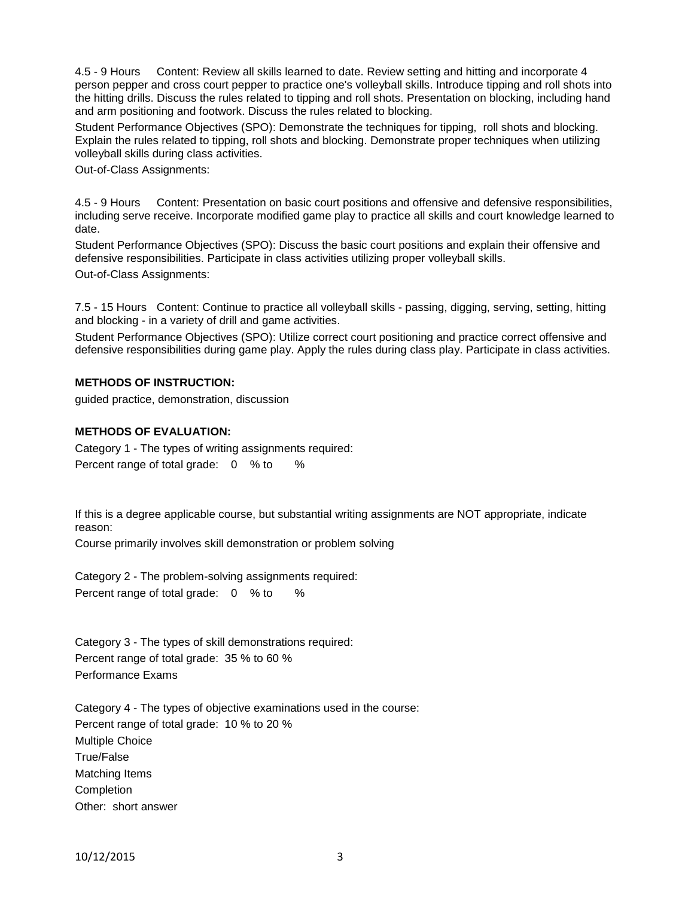4.5 - 9 Hours Content: Review all skills learned to date. Review setting and hitting and incorporate 4 person pepper and cross court pepper to practice one's volleyball skills. Introduce tipping and roll shots into the hitting drills. Discuss the rules related to tipping and roll shots. Presentation on blocking, including hand and arm positioning and footwork. Discuss the rules related to blocking.

Student Performance Objectives (SPO): Demonstrate the techniques for tipping, roll shots and blocking. Explain the rules related to tipping, roll shots and blocking. Demonstrate proper techniques when utilizing volleyball skills during class activities.

Out-of-Class Assignments:

4.5 - 9 Hours Content: Presentation on basic court positions and offensive and defensive responsibilities, including serve receive. Incorporate modified game play to practice all skills and court knowledge learned to date.

Student Performance Objectives (SPO): Discuss the basic court positions and explain their offensive and defensive responsibilities. Participate in class activities utilizing proper volleyball skills. Out-of-Class Assignments:

7.5 - 15 Hours Content: Continue to practice all volleyball skills - passing, digging, serving, setting, hitting and blocking - in a variety of drill and game activities.

Student Performance Objectives (SPO): Utilize correct court positioning and practice correct offensive and defensive responsibilities during game play. Apply the rules during class play. Participate in class activities.

## **METHODS OF INSTRUCTION:**

guided practice, demonstration, discussion

### **METHODS OF EVALUATION:**

Category 1 - The types of writing assignments required: Percent range of total grade: 0 % to %

If this is a degree applicable course, but substantial writing assignments are NOT appropriate, indicate reason:

Course primarily involves skill demonstration or problem solving

Category 2 - The problem-solving assignments required: Percent range of total grade: 0 % to %

Category 3 - The types of skill demonstrations required: Percent range of total grade: 35 % to 60 % Performance Exams

Category 4 - The types of objective examinations used in the course: Percent range of total grade: 10 % to 20 % Multiple Choice True/False Matching Items Completion Other: short answer